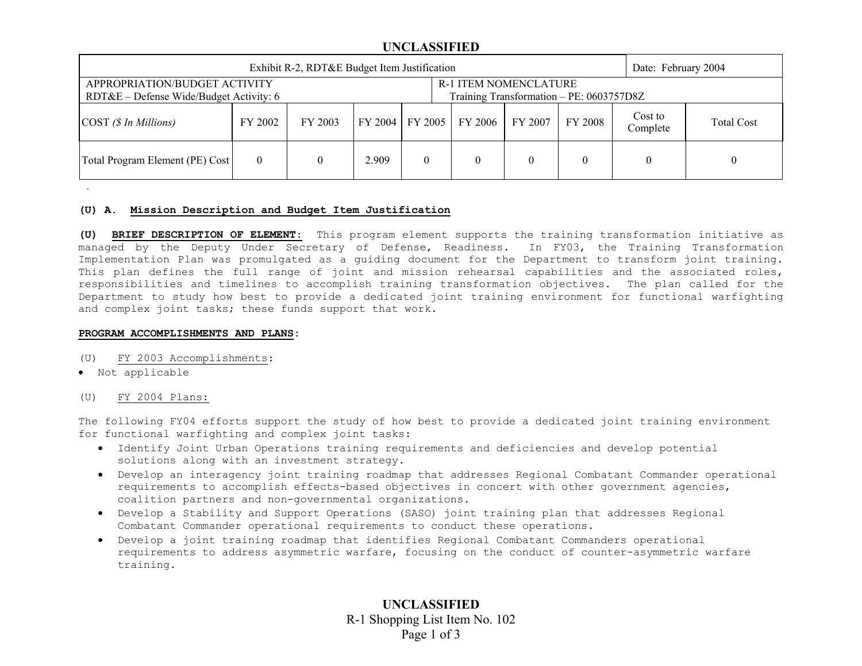### **UNCLASSIFIED**

| Exhibit R-2, RDT&E Budget Item Justification                                                                                                           |         |         |       |  |                             |         | Date: February 2004 |                     |                   |
|--------------------------------------------------------------------------------------------------------------------------------------------------------|---------|---------|-------|--|-----------------------------|---------|---------------------|---------------------|-------------------|
| <b>R-1 ITEM NOMENCLATURE</b><br>APPROPRIATION/BUDGET ACTIVITY<br>Training Transformation - PE: 0603757D8Z<br>$RDT&E$ – Defense Wide/Budget Activity: 6 |         |         |       |  |                             |         |                     |                     |                   |
| $\text{COST } (\$ In\,,$                                                                                                                               | FY 2002 | FY 2003 |       |  | FY 2004   FY 2005   FY 2006 | FY 2007 | FY 2008             | Cost to<br>Complete | <b>Total Cost</b> |
| Total Program Element (PE) Cost                                                                                                                        |         |         | 2.909 |  |                             |         |                     |                     |                   |

#### **(U) A. Mission Description and Budget Item Justification**

**(U) BRIEF DESCRIPTION OF ELEMENT**: This program element supports the training transformation initiative as managed by the Deputy Under Secretary of Defense, Readiness. In FY03, the Training Transformation Implementation Plan was promulgated as a guiding document for the Department to transform joint training. This plan defines the full range of joint and mission rehearsal capabilities and the associated roles, responsibilities and timelines to accomplish training transformation objectives. The plan called for the Department to study how best to provide a dedicated joint training environment for functional warfighting and complex joint tasks; these funds support that work.

#### **PROGRAM ACCOMPLISHMENTS AND PLANS:**

- (U) FY 2003 Accomplishments:
- Not applicable

.

(U) FY 2004 Plans:

The following FY04 efforts support the study of how best to provide a dedicated joint training environment for functional warfighting and complex joint tasks:

- Identify Joint Urban Operations training requirements and deficiencies and develop potential solutions along with an investment strategy.
- Develop an interagency joint training roadmap that addresses Regional Combatant Commander operational requirements to accomplish effects-based objectives in concert with other government agencies, coalition partners and non-governmental organizations.
- Develop a Stability and Support Operations (SASO) joint training plan that addresses Regional Combatant Commander operational requirements to conduct these operations.
- Develop a joint training roadmap that identifies Regional Combatant Commanders operational requirements to address asymmetric warfare, focusing on the conduct of counter-asymmetric warfare training.

**UNCLASSIFIED** R-1 Shopping List Item No. 102 Page 1 of 3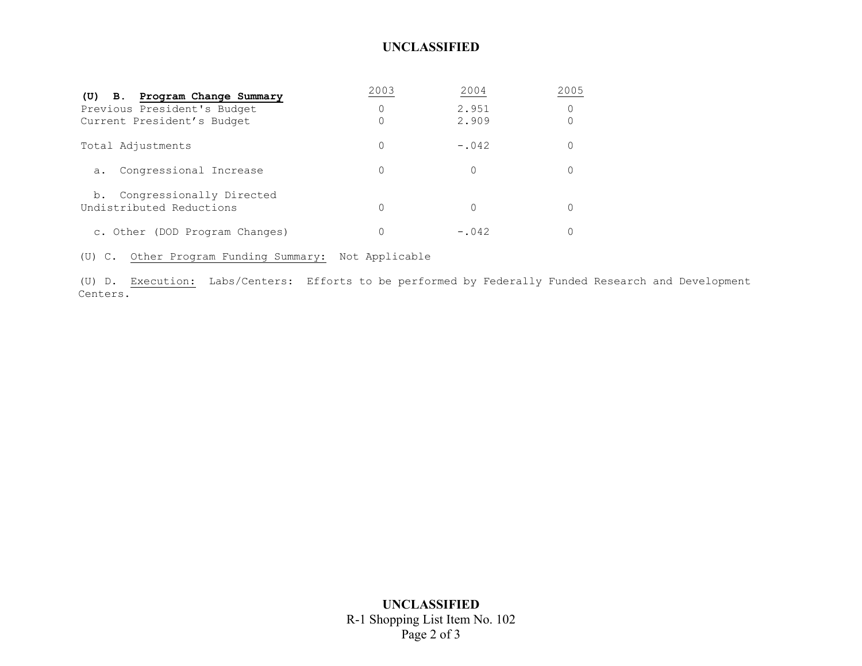# **UNCLASSIFIED**

| (U) B. Program Change Summary                              | 2003 | 2004    | 005 |
|------------------------------------------------------------|------|---------|-----|
| Previous President's Budget                                | 0    | 2.951   |     |
| Current President's Budget                                 |      | 2.909   |     |
| Total Adjustments                                          |      | $-.042$ |     |
| Congressional Increase<br>$a$ .                            | 0    |         |     |
| Congressionally Directed<br>b.<br>Undistributed Reductions |      |         |     |
| c. Other (DOD Program Changes)                             |      | $-.042$ |     |

(U) C. Other Program Funding Summary: Not Applicable

(U) D. Execution: Labs/Centers: Efforts to be performed by Federally Funded Research and Development Centers.

> **UNCLASSIFIED**  R-1 Shopping List Item No. 102 Page 2 of 3